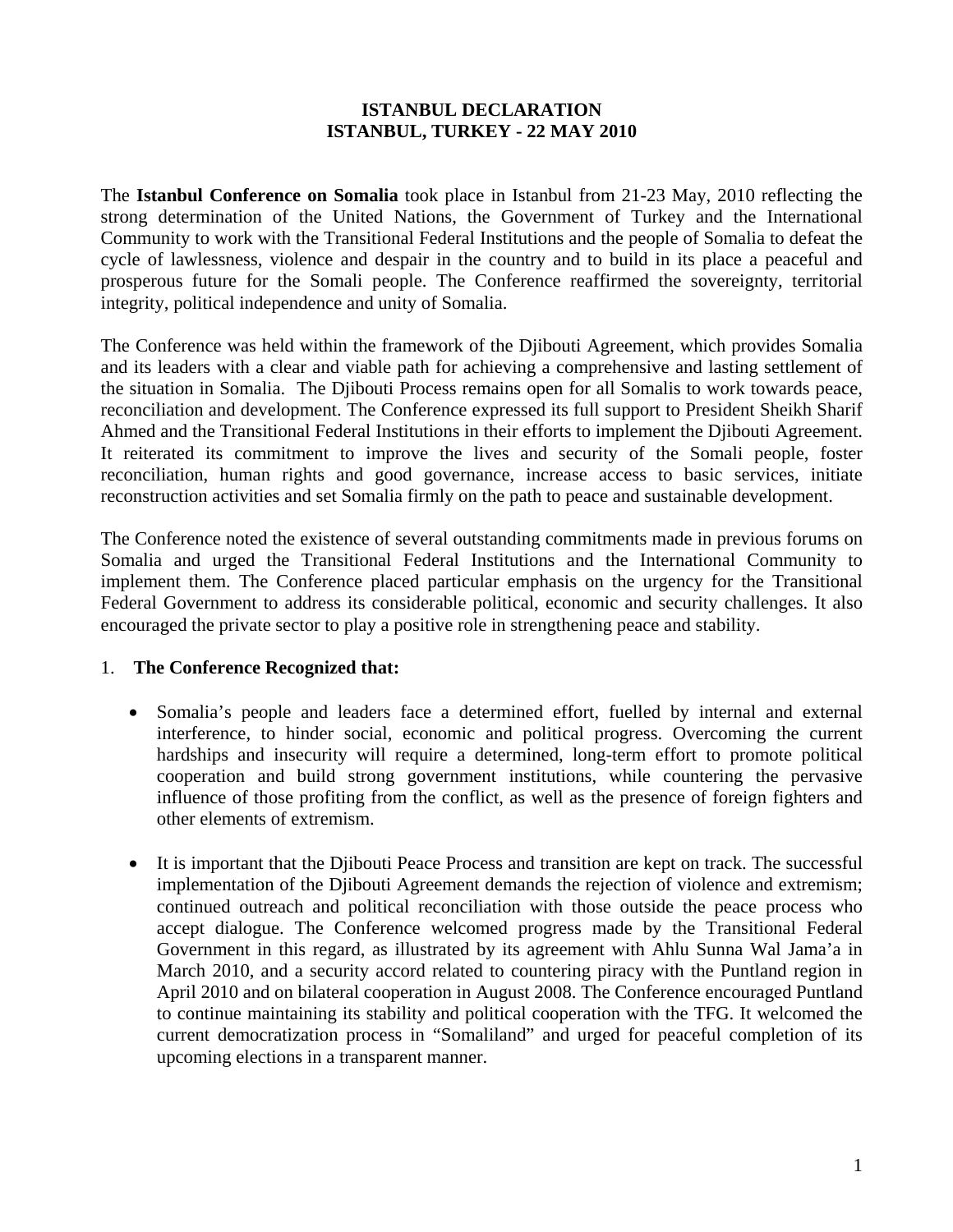## **ISTANBUL DECLARATION ISTANBUL, TURKEY - 22 MAY 2010**

The **Istanbul Conference on Somalia** took place in Istanbul from 21-23 May, 2010 reflecting the strong determination of the United Nations, the Government of Turkey and the International Community to work with the Transitional Federal Institutions and the people of Somalia to defeat the cycle of lawlessness, violence and despair in the country and to build in its place a peaceful and prosperous future for the Somali people. The Conference reaffirmed the sovereignty, territorial integrity, political independence and unity of Somalia.

The Conference was held within the framework of the Djibouti Agreement, which provides Somalia and its leaders with a clear and viable path for achieving a comprehensive and lasting settlement of the situation in Somalia. The Djibouti Process remains open for all Somalis to work towards peace, reconciliation and development. The Conference expressed its full support to President Sheikh Sharif Ahmed and the Transitional Federal Institutions in their efforts to implement the Djibouti Agreement. It reiterated its commitment to improve the lives and security of the Somali people, foster reconciliation, human rights and good governance, increase access to basic services, initiate reconstruction activities and set Somalia firmly on the path to peace and sustainable development.

The Conference noted the existence of several outstanding commitments made in previous forums on Somalia and urged the Transitional Federal Institutions and the International Community to implement them. The Conference placed particular emphasis on the urgency for the Transitional Federal Government to address its considerable political, economic and security challenges. It also encouraged the private sector to play a positive role in strengthening peace and stability.

## 1. **The Conference Recognized that:**

- Somalia's people and leaders face a determined effort, fuelled by internal and external interference, to hinder social, economic and political progress. Overcoming the current hardships and insecurity will require a determined, long-term effort to promote political cooperation and build strong government institutions, while countering the pervasive influence of those profiting from the conflict, as well as the presence of foreign fighters and other elements of extremism.
- It is important that the Djibouti Peace Process and transition are kept on track. The successful implementation of the Djibouti Agreement demands the rejection of violence and extremism; continued outreach and political reconciliation with those outside the peace process who accept dialogue. The Conference welcomed progress made by the Transitional Federal Government in this regard, as illustrated by its agreement with Ahlu Sunna Wal Jama'a in March 2010, and a security accord related to countering piracy with the Puntland region in April 2010 and on bilateral cooperation in August 2008. The Conference encouraged Puntland to continue maintaining its stability and political cooperation with the TFG. It welcomed the current democratization process in "Somaliland" and urged for peaceful completion of its upcoming elections in a transparent manner.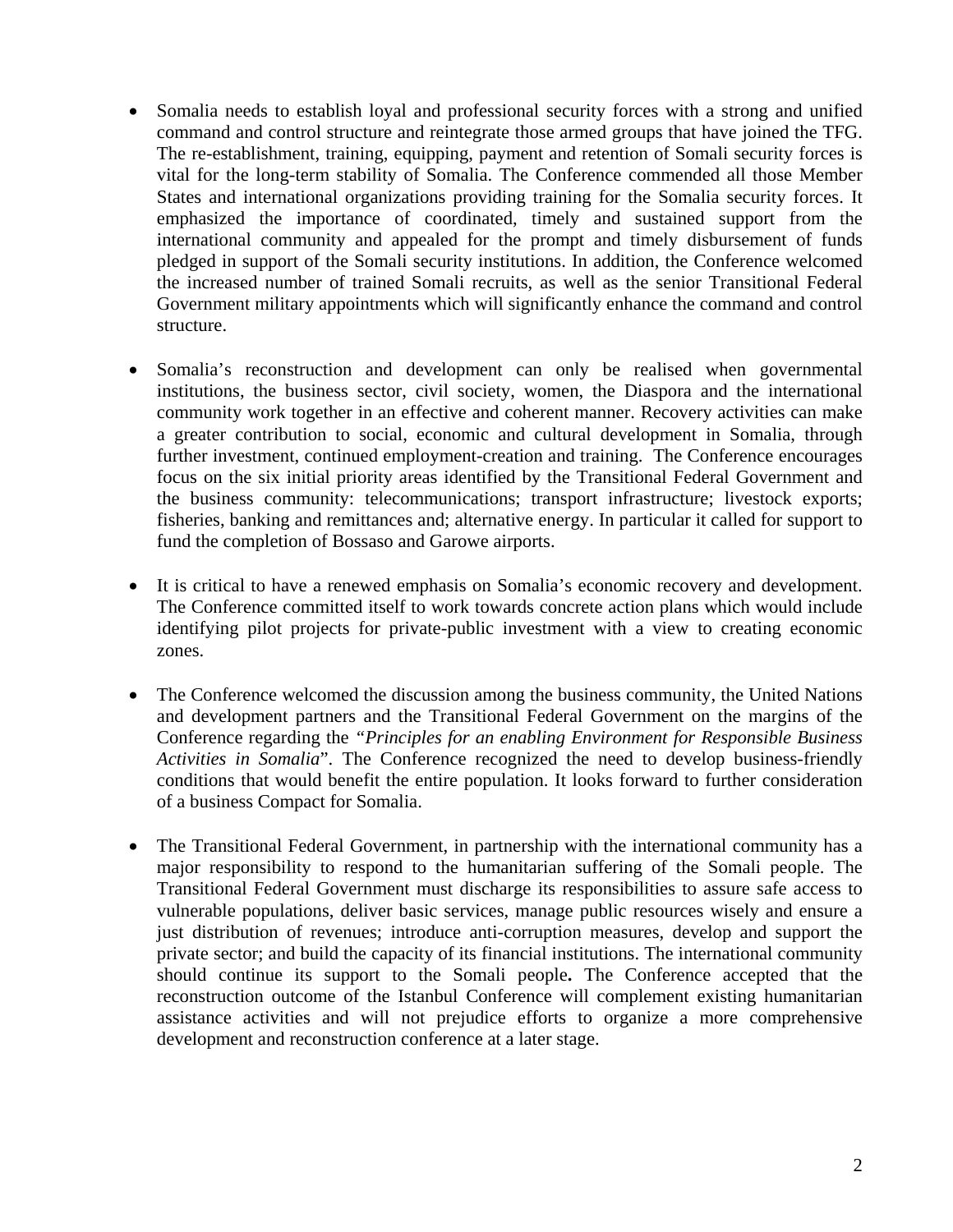- Somalia needs to establish loyal and professional security forces with a strong and unified command and control structure and reintegrate those armed groups that have joined the TFG. The re-establishment, training, equipping, payment and retention of Somali security forces is vital for the long-term stability of Somalia. The Conference commended all those Member States and international organizations providing training for the Somalia security forces. It emphasized the importance of coordinated, timely and sustained support from the international community and appealed for the prompt and timely disbursement of funds pledged in support of the Somali security institutions. In addition, the Conference welcomed the increased number of trained Somali recruits, as well as the senior Transitional Federal Government military appointments which will significantly enhance the command and control structure.
- Somalia's reconstruction and development can only be realised when governmental institutions, the business sector, civil society, women, the Diaspora and the international community work together in an effective and coherent manner. Recovery activities can make a greater contribution to social, economic and cultural development in Somalia, through further investment, continued employment-creation and training. The Conference encourages focus on the six initial priority areas identified by the Transitional Federal Government and the business community: telecommunications; transport infrastructure; livestock exports; fisheries, banking and remittances and; alternative energy. In particular it called for support to fund the completion of Bossaso and Garowe airports.
- It is critical to have a renewed emphasis on Somalia's economic recovery and development. The Conference committed itself to work towards concrete action plans which would include identifying pilot projects for private-public investment with a view to creating economic zones.
- The Conference welcomed the discussion among the business community, the United Nations and development partners and the Transitional Federal Government on the margins of the Conference regarding the *"Principles for an enabling Environment for Responsible Business Activities in Somalia*". The Conference recognized the need to develop business-friendly conditions that would benefit the entire population. It looks forward to further consideration of a business Compact for Somalia.
- The Transitional Federal Government, in partnership with the international community has a major responsibility to respond to the humanitarian suffering of the Somali people. The Transitional Federal Government must discharge its responsibilities to assure safe access to vulnerable populations, deliver basic services, manage public resources wisely and ensure a just distribution of revenues; introduce anti-corruption measures, develop and support the private sector; and build the capacity of its financial institutions. The international community should continue its support to the Somali people**.** The Conference accepted that the reconstruction outcome of the Istanbul Conference will complement existing humanitarian assistance activities and will not prejudice efforts to organize a more comprehensive development and reconstruction conference at a later stage.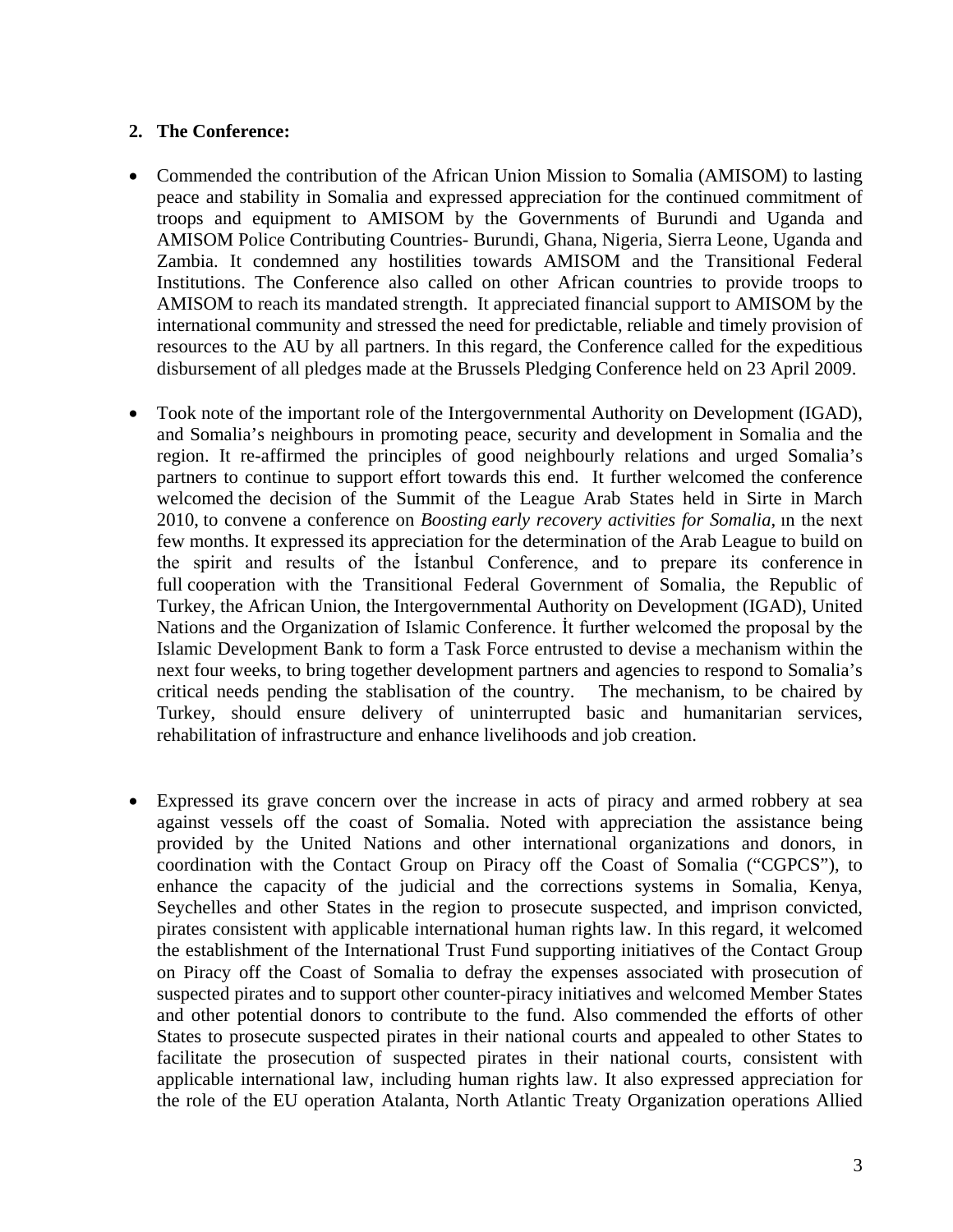## **2. The Conference:**

- Commended the contribution of the African Union Mission to Somalia (AMISOM) to lasting peace and stability in Somalia and expressed appreciation for the continued commitment of troops and equipment to AMISOM by the Governments of Burundi and Uganda and AMISOM Police Contributing Countries- Burundi, Ghana, Nigeria, Sierra Leone, Uganda and Zambia. It condemned any hostilities towards AMISOM and the Transitional Federal Institutions. The Conference also called on other African countries to provide troops to AMISOM to reach its mandated strength. It appreciated financial support to AMISOM by the international community and stressed the need for predictable, reliable and timely provision of resources to the AU by all partners. In this regard, the Conference called for the expeditious disbursement of all pledges made at the Brussels Pledging Conference held on 23 April 2009.
- Took note of the important role of the Intergovernmental Authority on Development (IGAD), and Somalia's neighbours in promoting peace, security and development in Somalia and the region. It re-affirmed the principles of good neighbourly relations and urged Somalia's partners to continue to support effort towards this end. It further welcomed the conference welcomed the decision of the Summit of the League Arab States held in Sirte in March 2010, to convene a conference on *Boosting early recovery activities for Somalia*, ın the next few months. It expressed its appreciation for the determination of the Arab League to build on the spirit and results of the İstanbul Conference, and to prepare its conference in full cooperation with the Transitional Federal Government of Somalia, the Republic of Turkey, the African Union, the Intergovernmental Authority on Development (IGAD), United Nations and the Organization of Islamic Conference. İt further welcomed the proposal by the Islamic Development Bank to form a Task Force entrusted to devise a mechanism within the next four weeks, to bring together development partners and agencies to respond to Somalia's critical needs pending the stablisation of the country. The mechanism, to be chaired by Turkey, should ensure delivery of uninterrupted basic and humanitarian services, rehabilitation of infrastructure and enhance livelihoods and job creation.
- Expressed its grave concern over the increase in acts of piracy and armed robbery at sea against vessels off the coast of Somalia. Noted with appreciation the assistance being provided by the United Nations and other international organizations and donors, in coordination with the Contact Group on Piracy off the Coast of Somalia ("CGPCS"), to enhance the capacity of the judicial and the corrections systems in Somalia, Kenya, Seychelles and other States in the region to prosecute suspected, and imprison convicted, pirates consistent with applicable international human rights law. In this regard, it welcomed the establishment of the International Trust Fund supporting initiatives of the Contact Group on Piracy off the Coast of Somalia to defray the expenses associated with prosecution of suspected pirates and to support other counter-piracy initiatives and welcomed Member States and other potential donors to contribute to the fund. Also commended the efforts of other States to prosecute suspected pirates in their national courts and appealed to other States to facilitate the prosecution of suspected pirates in their national courts, consistent with applicable international law, including human rights law. It also expressed appreciation for the role of the EU operation Atalanta, North Atlantic Treaty Organization operations Allied